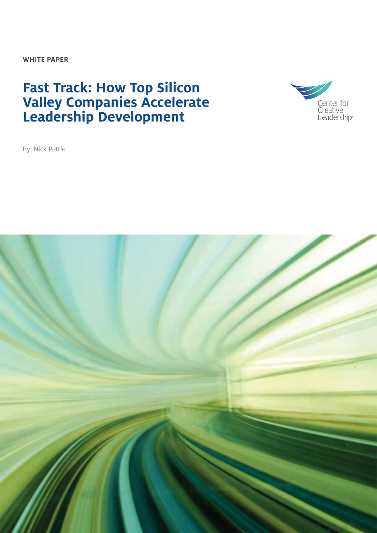**WHITE PAPER**

## **Fast Track: How Top Silicon Valley Companies Accelerate Leadership Development**



By: Nick Petrie

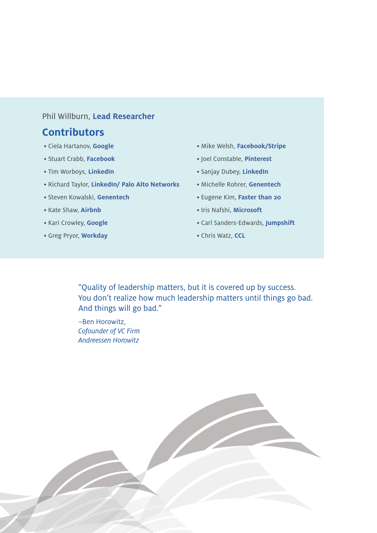#### Phil Willburn, **Lead Researcher**

#### **Contributors**

- Ciela Hartanov, **Google**
- Stuart Crabb, **Facebook**
- Tim Worboys, **LinkedIn**
- Richard Taylor, **LinkedIn/ Palo Alto Networks**
- Steven Kowalski, **Genentech**
- Kate Shaw, **Airbnb**
- Kari Crowley, **Google**
- Greg Pryor, **Workday**
- Mike Welsh, **Facebook/Stripe**
- Joel Constable, **Pinterest**
- Sanjay Dubey, **LinkedIn**
- Michelle Rohrer, **Genentech**
- Eugene Kim, **Faster than 20**
- Iris Nafshi, **Microsoft**
- Carl Sanders-Edwards, **Jumpshift**
- Chris Watz, **CCL**

"Quality of leadership matters, but it is covered up by success. You don't realize how much leadership matters until things go bad. And things will go bad."

–Ben Horowitz, *Cofounder of VC Firm Andreessen Horowitz*

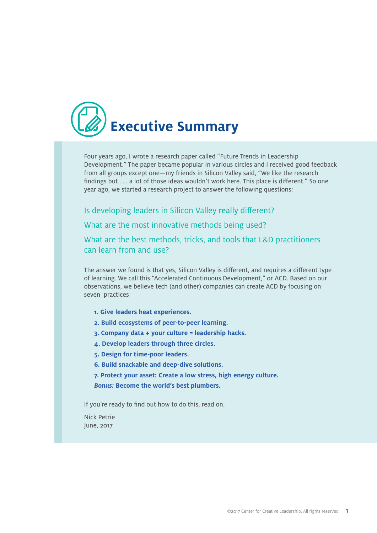

Four years ago, I wrote a research paper called "Future Trends in Leadership Development." The paper became popular in various circles and I received good feedback from all groups except one—my friends in Silicon Valley said, "We like the research findings but . . . a lot of those ideas wouldn't work here. This place is different." So one year ago, we started a research project to answer the following questions:

Is developing leaders in Silicon Valley really different?

What are the most innovative methods being used?

What are the best methods, tricks, and tools that L&D practitioners can learn from and use?

The answer we found is that yes, Silicon Valley is different, and requires a different type of learning. We call this "Accelerated Continuous Development," or ACD. Based on our observations, we believe tech (and other) companies can create ACD by focusing on seven practices

- **1. Give leaders heat experiences.**
- **2. Build ecosystems of peer-to-peer learning.**
- **3. Company data + your culture = leadership hacks.**
- **4. Develop leaders through three circles.**
- **5. Design for time-poor leaders.**
- **6. Build snackable and deep-dive solutions.**
- **7. Protect your asset: Create a low stress, high energy culture.**
- *Bonus:* **Become the world's best plumbers.**

If you're ready to find out how to do this, read on.

Nick Petrie June, 2017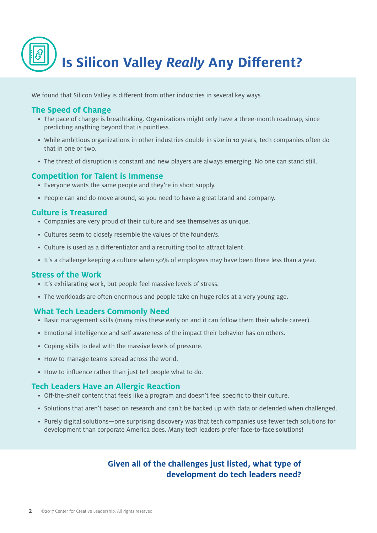

We found that Silicon Valley is different from other industries in several key ways

#### **The Speed of Change**

- The pace of change is breathtaking. Organizations might only have a three-month roadmap, since predicting anything beyond that is pointless.
- While ambitious organizations in other industries double in size in 10 years, tech companies often do that in one or two.
- The threat of disruption is constant and new players are always emerging. No one can stand still.

#### **Competition for Talent is Immense**

- Everyone wants the same people and they're in short supply.
- People can and do move around, so you need to have a great brand and company.

#### **Culture is Treasured**

- Companies are very proud of their culture and see themselves as unique.
- Cultures seem to closely resemble the values of the founder/s.
- Culture is used as a differentiator and a recruiting tool to attract talent.
- It's a challenge keeping a culture when 50% of employees may have been there less than a year.

#### **Stress of the Work**

- It's exhilarating work, but people feel massive levels of stress.
- The workloads are often enormous and people take on huge roles at a very young age.

#### **What Tech Leaders Commonly Need**

- Basic management skills (many miss these early on and it can follow them their whole career).
- Emotional intelligence and self-awareness of the impact their behavior has on others.
- Coping skills to deal with the massive levels of pressure.
- How to manage teams spread across the world.
- How to influence rather than just tell people what to do.

#### **Tech Leaders Have an Allergic Reaction**

- Off-the-shelf content that feels like a program and doesn't feel specific to their culture.
- Solutions that aren't based on research and can't be backed up with data or defended when challenged.
- Purely digital solutions—one surprising discovery was that tech companies use fewer tech solutions for development than corporate America does. Many tech leaders prefer face-to-face solutions!

#### **Given all of the challenges just listed, what type of development do tech leaders need?**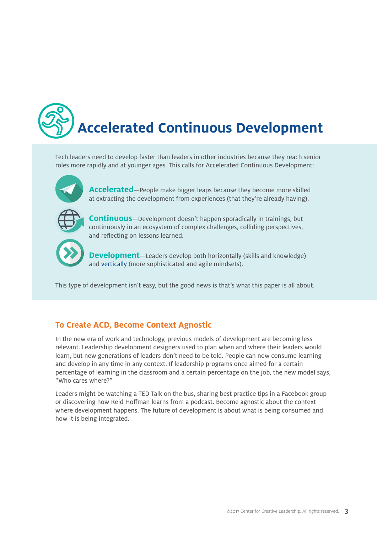# **Accelerated Continuous Development**

Tech leaders need to develop faster than leaders in other industries because they reach senior roles more rapidly and at younger ages. This calls for Accelerated Continuous Development:



**Accelerated**—People make bigger leaps because they become more skilled at extracting the development from experiences (that they're already having).



**Continuous**—Development doesn't happen sporadically in trainings, but continuously in an ecosystem of complex challenges, colliding perspectives, and reflecting on lessons learned.



**Development**—Leaders develop both horizontally (skills and knowledge) and [vertically](http://www.ccl.org/wp-content/uploads/2015/04/VerticalLeadersPart1.pdf) (more sophisticated and agile mindsets).

This type of development isn't easy, but the good news is that's what this paper is all about.

#### **To Create ACD, Become Context Agnostic**

In the new era of work and technology, previous models of development are becoming less relevant. Leadership development designers used to plan when and where their leaders would learn, but new generations of leaders don't need to be told. People can now consume learning and develop in any time in any context. If leadership programs once aimed for a certain percentage of learning in the classroom and a certain percentage on the job, the new model says, "Who cares where?"

Leaders might be watching a TED Talk on the bus, sharing best practice tips in a Facebook group or discovering how Reid Hoffman learns from a podcast. Become agnostic about the context where development happens. The future of development is about what is being consumed and how it is being integrated.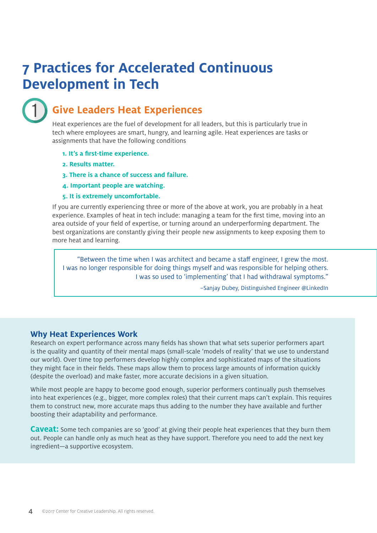## **7 Practices for Accelerated Continuous Development in Tech**



### **Give Leaders Heat Experiences**

Heat experiences are the fuel of development for all leaders, but this is particularly true in tech where employees are smart, hungry, and learning agile. Heat experiences are tasks or assignments that have the following conditions

- **1. It's a first-time experience.**
- **2. Results matter.**
- **3. There is a chance of success and failure.**
- **4. Important people are watching.**
- **5. It is extremely uncomfortable.**

If you are currently experiencing three or more of the above at work, you are probably in a heat experience. Examples of heat in tech include: managing a team for the first time, moving into an area outside of your field of expertise, or turning around an underperforming department. The best organizations are constantly giving their people new assignments to keep exposing them to more heat and learning.

"Between the time when I was architect and became a staff engineer, I grew the most. I was no longer responsible for doing things myself and was responsible for helping others. I was so used to 'implementing' that I had withdrawal symptoms."

–Sanjay Dubey, Distinguished Engineer @LinkedIn

#### **Why Heat Experiences Work**

Research on expert performance across many fields has shown that what sets superior performers apart is the quality and quantity of their mental maps (small-scale 'models of reality' that we use to understand our world). Over time top performers develop highly complex and sophisticated maps of the situations they might face in their fields. These maps allow them to process large amounts of information quickly (despite the overload) and make faster, more accurate decisions in a given situation.

While most people are happy to become good enough, superior performers continually push themselves into heat experiences (e.g., bigger, more complex roles) that their current maps can't explain. This requires them to construct new, more accurate maps thus adding to the number they have available and further boosting their adaptability and performance.

**Caveat:** Some tech companies are so 'good' at giving their people heat experiences that they burn them out. People can handle only as much heat as they have support. Therefore you need to add the next key ingredient—a supportive ecosystem.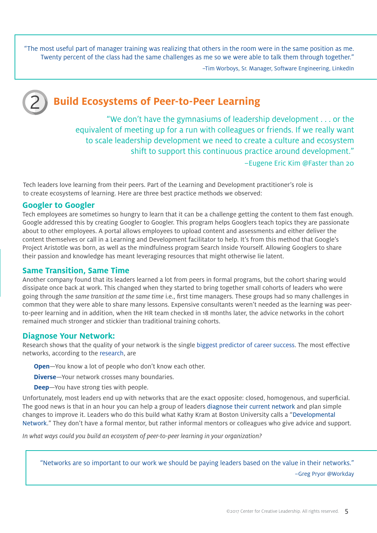"The most useful part of manager training was realizing that others in the room were in the same position as me. Twenty percent of the class had the same challenges as me so we were able to talk them through together."

–Tim Worboys, Sr. Manager, Software Engineering, LinkedIn



### **Build Ecosystems of Peer-to-Peer Learning**

"We don't have the gymnasiums of leadership development . . . or the equivalent of meeting up for a run with colleagues or friends. If we really want to scale leadership development we need to create a culture and ecosystem shift to support this continuous practice around development." –Eugene Eric Kim @Faster than 20

Tech leaders love learning from their peers. Part of the Learning and Development practitioner's role is to create ecosystems of learning. Here are three best practice methods we observed:

#### **Googler to Googler**

Tech employees are sometimes so hungry to learn that it can be a challenge getting the content to them fast enough. Google addressed this by creating Googler to Googler. This program helps Googlers teach topics they are passionate about to other employees. A portal allows employees to upload content and assessments and either deliver the content themselves or call in a Learning and Development facilitator to help. It's from this method that Google's Project Aristotle was born, as well as the mindfulness program Search Inside Yourself. Allowing Googlers to share their passion and knowledge has meant leveraging resources that might otherwise lie latent.

#### **Same Transition, Same Time**

Another company found that its leaders learned a lot from peers in formal programs, but the cohort sharing would dissipate once back at work. This changed when they started to bring together small cohorts of leaders who were going through the *same transition at the same time* i.e., first time managers. These groups had so many challenges in common that they were able to share many lessons. Expensive consultants weren't needed as the learning was peerto-peer learning and in addition, when the HR team checked in 18 months later, the advice networks in the cohort remained much stronger and stickier than traditional training cohorts.

#### **Diagnose Your Network:**

Research shows that the quality of your network is the single [biggest predictor of career success](https://www.forbes.com/forbes/welcome/?toURL=https://www.forbes.com/sites/michaelsimmons/2015/01/15/this-is-the-1-predictor-of-career-success-according-to-network-science/&refURL=&referrer=#73ffb382e829). The most effective networks, according to the [research](http://www.ccl.org/wp-content/uploads/2015/04/LeadersNetwork.pdf), are

**Open**—You know a lot of people who don't know each other.

**Diverse**—Your network crosses many boundaries.

**Deep**—You have strong ties with people.

Unfortunately, most leaders end up with networks that are the exact opposite: closed, homogenous, and superficial. The good news is that in an hour you can help a group of leaders [diagnose their current network](http://www.leadernetworkdiagnostic.com) and plan simple changes to improve it. Leaders who do this build what Kathy Kram at Boston University calls a ["Developmental](http://www.philwillburn.com)  [Network](http://www.philwillburn.com)." They don't have a formal mentor, but rather informal mentors or colleagues who give advice and support.

*In what ways could you build an ecosystem of peer-to-peer learning in your organization?*

"Networks are so important to our work we should be paying leaders based on the value in their networks."

–Greg Pryor @Workday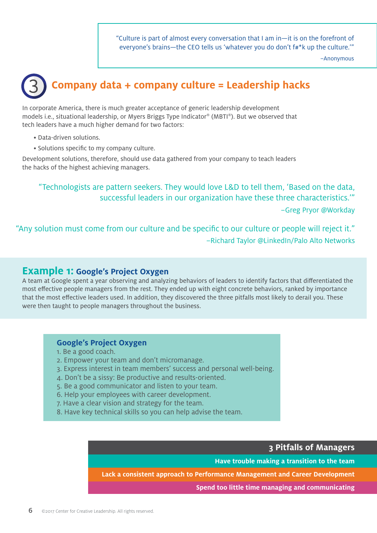"Culture is part of almost every conversation that I am in—it is on the forefront of everyone's brains—the CEO tells us 'whatever you do don't f#\*k up the culture."

–Anonymous

## 3 **Company data + company culture = Leadership hacks**

In corporate America, there is much greater acceptance of generic leadership development models i.e., situational leadership, or Myers Briggs Type Indicator® (MBTI®). But we observed that tech leaders have a much higher demand for two factors:

- Data-driven solutions.
- Solutions specific to my company culture.

Development solutions, therefore, should use data gathered from your company to teach leaders the hacks of the highest achieving managers.

"Technologists are pattern seekers. They would love L&D to tell them, 'Based on the data, successful leaders in our organization have these three characteristics.'" –Greg Pryor @Workday

"Any solution must come from our culture and be specific to our culture or people will reject it." –Richard Taylor @LinkedIn/Palo Alto Networks

#### **Example 1: Google's Project Oxygen**

A team at Google spent a year observing and analyzing behaviors of leaders to identify factors that differentiated the most effective people managers from the rest. They ended up with eight concrete behaviors, ranked by importance that the most effective leaders used. In addition, they discovered the three pitfalls most likely to derail you. These were then taught to people managers throughout the business.

#### **Google's Project Oxygen**

- 1. Be a good coach.
- 2. Empower your team and don't micromanage.
- 3. Express interest in team members' success and personal well-being.
- 4. Don't be a sissy: Be productive and results-oriented.
- 5. Be a good communicator and listen to your team.
- 6. Help your employees with career development.
- 7. Have a clear vision and strategy for the team.
- 8. Have key technical skills so you can help advise the team.

#### **3 Pitfalls of Managers**

**Have trouble making a transition to the team**

**Lack a consistent approach to Performance Management and Career Development**

**Spend too little time managing and communicating**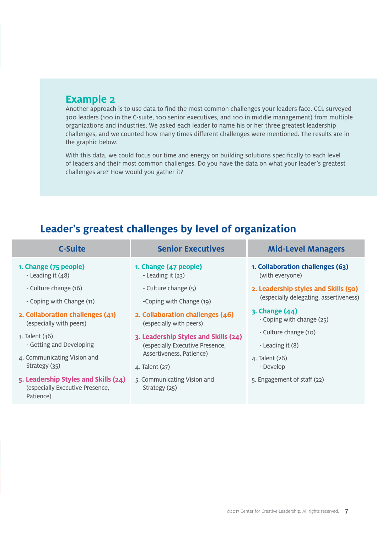#### **Example 2**

Another approach is to use data to find the most common challenges your leaders face. CCL surveyed 300 leaders (100 in the C-suite, 100 senior executives, and 100 in middle management) from multiple organizations and industries. We asked each leader to name his or her three greatest leadership challenges, and we counted how many times different challenges were mentioned. The results are in the graphic below.

With this data, we could focus our time and energy on building solutions specifically to each level of leaders and their most common challenges. Do you have the data on what your leader's greatest challenges are? How would you gather it?

### **Leader's greatest challenges by level of organization**

| <b>C-Suite</b>                                                                       | <b>Senior Executives</b>                     | <b>Mid-Level Managers</b>              |
|--------------------------------------------------------------------------------------|----------------------------------------------|----------------------------------------|
| 1. Change (75 people)                                                                | 1. Change (47 people)                        | 1. Collaboration challenges (63)       |
| - Leading it $(48)$                                                                  | - Leading it $(23)$                          | (with everyone)                        |
| - Culture change (16)                                                                | - Culture change (5)                         | 2. Leadership styles and Skills (50)   |
| - Coping with Change (11)                                                            | -Coping with Change (19)                     | (especially delegating, assertiveness) |
| 2. Collaboration challenges (41)                                                     | 2. Collaboration challenges (46)             | $3.$ Change $(44)$                     |
| (especially with peers)                                                              | (especially with peers)                      | - Coping with change (25)              |
| $\lambda$ . Talent $\lambda$ 36)                                                     | 3. Leadership Styles and Skills (24)         | - Culture change (10)                  |
| - Getting and Developing                                                             | (especially Executive Presence,              | - Leading it (8)                       |
| 4. Communicating Vision and                                                          | Assertiveness, Patience)                     | 4. Talent (26)                         |
| Strategy (35)                                                                        | 4. Talent (27)                               | - Develop                              |
| 5. Leadership Styles and Skills (24)<br>(especially Executive Presence,<br>Patience) | 5. Communicating Vision and<br>Strategy (25) | 5. Engagement of staff (22)            |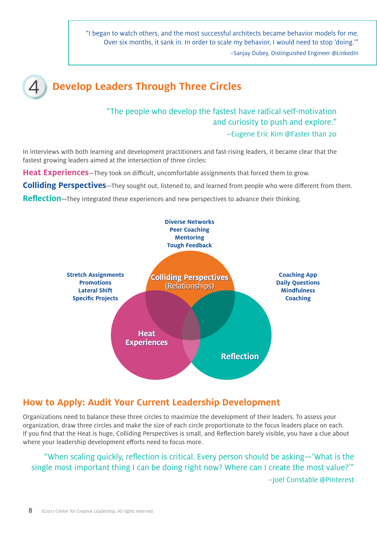"I began to watch others, and the most successful architects became behavior models for me. Over six months, it sank in. In order to scale my behavior, I would need to stop 'doing.'" –Sanjay Dubey, Distinguished Engineer @LinkedIn

#### **Develop Leaders Through Three Circles** 4

#### "The people who develop the fastest have radical self-motivation and curiosity to push and explore." –Eugene Eric Kim @Faster than 20

In interviews with both learning and development practitioners and fast-rising leaders, it became clear that the fastest growing leaders aimed at the intersection of three circles:

**Heat Experiences**—They took on difficult, uncomfortable assignments that forced them to grow.

**Colliding Perspectives**—They sought out, listened to, and learned from people who were different from them.

**Reflection**—They integrated these experiences and new perspectives to advance their thinking.



#### **How to Apply: Audit Your Current Leadership Development**

Organizations need to balance these three circles to maximize the development of their leaders. To assess your organization, draw three circles and make the size of each circle proportionate to the focus leaders place on each. If you find that the Heat is huge, Colliding Perspectives is small, and Reflection barely visible, you have a clue about where your leadership development efforts need to focus more.

"When scaling quickly, reflection is critical. Every person should be asking—'What is the single most important thing I can be doing right now? Where can I create the most value?'" –Joel Constable @Pinterest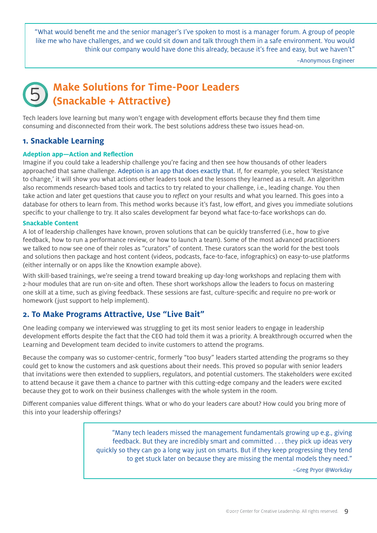"What would benefit me and the senior manager's I've spoken to most is a manager forum. A group of people like me who have challenges, and we could sit down and talk through them in a safe environment. You would think our company would have done this already, because it's free and easy, but we haven't"

–Anonymous Engineer

## **Make Solutions for Time-Poor Leaders<br>
(Snackable + Attractive)**

Tech leaders love learning but many won't engage with development efforts because they find them time consuming and disconnected from their work. The best solutions address these two issues head-on.

#### **1. Snackable Learning**

#### **Adeption app—Action and Reflection**

Imagine if you could take a leadership challenge you're facing and then see how thousands of other leaders approached that same challenge. Adeption [is an app that does exactly that.](http://www.knowtion.io) If, for example, you select 'Resistance to change,' it will show you what actions other leaders took and the lessons they learned as a result. An algorithm also recommends research-based tools and tactics to try related to your challenge, i.e., leading change. You then take action and later get questions that cause you to *reflect* on your results and what you learned. This goes into a database for others to learn from. This method works because it's fast, low effort, and gives you immediate solutions specific to your challenge to try. It also scales development far beyond what face-to-face workshops can do.

#### **Snackable Content**

A lot of leadership challenges have known, proven solutions that can be quickly transferred (i.e., how to give feedback, how to run a performance review, or how to launch a team). Some of the most advanced practitioners we talked to now see one of their roles as "curators" of content. These curators scan the world for the best tools and solutions then package and host content (videos, podcasts, face-to-face, infographics) on easy-to-use platforms (either internally or on apps like the Knowtion example above).

With skill-based trainings, we're seeing a trend toward breaking up day-long workshops and replacing them with 2-hour modules that are run on-site and often. These short workshops allow the leaders to focus on mastering one skill at a time, such as giving feedback. These sessions are fast, culture-specific and require no pre-work or homework (just support to help implement).

#### **2. To Make Programs Attractive, Use "Live Bait"**

One leading company we interviewed was struggling to get its most senior leaders to engage in leadership development efforts despite the fact that the CEO had told them it was a priority. A breakthrough occurred when the Learning and Development team decided to invite customers to attend the programs.

Because the company was so customer-centric, formerly "too busy" leaders started attending the programs so they could get to know the customers and ask questions about their needs. This proved so popular with senior leaders that invitations were then extended to suppliers, regulators, and potential customers. The stakeholders were excited to attend because it gave them a chance to partner with this cutting-edge company and the leaders were excited because they got to work on their business challenges with the whole system in the room.

Different companies value different things. What or who do your leaders care about? How could you bring more of this into your leadership offerings?

> "Many tech leaders missed the management fundamentals growing up e.g., giving feedback. But they are incredibly smart and committed . . . they pick up ideas very quickly so they can go a long way just on smarts. But if they keep progressing they tend to get stuck later on because they are missing the mental models they need."

> > –Greg Pryor @Workday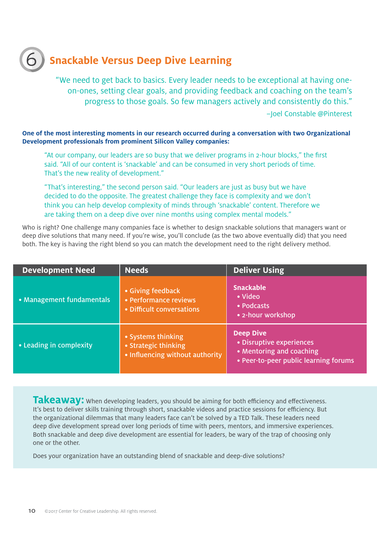## 6 **Snackable Versus Deep Dive Learning**

"We need to get back to basics. Every leader needs to be exceptional at having oneon-ones, setting clear goals, and providing feedback and coaching on the team's progress to those goals. So few managers actively and consistently do this." –Joel Constable @Pinterest

**One of the most interesting moments in our research occurred during a conversation with two Organizational Development professionals from prominent Silicon Valley companies:**

"At our company, our leaders are so busy that we deliver programs in 2-hour blocks," the first said. "All of our content is 'snackable' and can be consumed in very short periods of time. That's the new reality of development."

"That's interesting," the second person said. "Our leaders are just as busy but we have decided to do the opposite. The greatest challenge they face is complexity and we don't think you can help develop complexity of minds through 'snackable' content. Therefore we are taking them on a deep dive over nine months using complex mental models."

Who is right? One challenge many companies face is whether to design snackable solutions that managers want or deep dive solutions that many need. If you're wise, you'll conclude (as the two above eventually did) that you need both. The key is having the right blend so you can match the development need to the right delivery method.

| <b>Development Need</b>       | <b>Needs</b>                                                                  | <b>Deliver Using</b>                                                                                              |
|-------------------------------|-------------------------------------------------------------------------------|-------------------------------------------------------------------------------------------------------------------|
| • Management fundamentals     | • Giving feedback<br>• Performance reviews<br>• Difficult conversations       | <b>Snackable</b><br>• Video<br>• Podcasts<br>• 2-hour workshop                                                    |
| $\cdot$ Leading in complexity | • Systems thinking<br>• Strategic thinking<br>• Influencing without authority | <b>Deep Dive</b><br>• Disruptive experiences<br>• Mentoring and coaching<br>• Peer-to-peer public learning forums |

Takeaway: When developing leaders, you should be aiming for both efficiency and effectiveness. It's best to deliver skills training through short, snackable videos and practice sessions for efficiency. But the organizational dilemmas that many leaders face can't be solved by a TED Talk. These leaders need deep dive development spread over long periods of time with peers, mentors, and immersive experiences. Both snackable and deep dive development are essential for leaders, be wary of the trap of choosing only one or the other.

Does your organization have an outstanding blend of snackable and deep-dive solutions?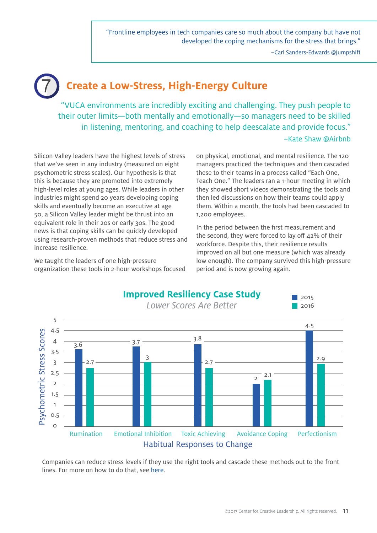"Frontline employees in tech companies care so much about the company but have not developed the coping mechanisms for the stress that brings."

–Carl Sanders-Edwards @Jumpshift

## 7 **Create a Low-Stress, High-Energy Culture**

"VUCA environments are incredibly exciting and challenging. They push people to their outer limits—both mentally and emotionally—so managers need to be skilled in listening, mentoring, and coaching to help deescalate and provide focus."

#### –Kate Shaw @Airbnb

Silicon Valley leaders have the highest levels of stress that we've seen in any industry (measured on eight psychometric stress scales). Our hypothesis is that this is because they are promoted into extremely high-level roles at young ages. While leaders in other industries might spend 20 years developing coping skills and eventually become an executive at age 50, a Silicon Valley leader might be thrust into an equivalent role in their 20s or early 30s. The good news is that coping skills can be quickly developed using research-proven methods that reduce stress and increase resilience.

We taught the leaders of one high-pressure organization these tools in 2-hour workshops focused on physical, emotional, and mental resilience. The 120 managers practiced the techniques and then cascaded these to their teams in a process called "Each One, Teach One." The leaders ran a 1-hour meeting in which they showed short videos demonstrating the tools and then led discussions on how their teams could apply them. Within a month, the tools had been cascaded to 1,200 employees.

In the period between the first measurement and the second, they were forced to lay off 42% of their workforce. Despite this, their resilience results improved on all but one measure (which was already low enough). The company survived this high-pressure period and is now growing again.



Companies can reduce stress levels if they use the right tools and cascade these methods out to the front lines. For more on how to do that, see here.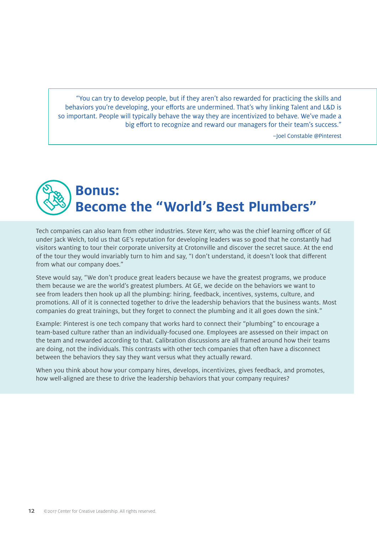"You can try to develop people, but if they aren't also rewarded for practicing the skills and behaviors you're developing, your efforts are undermined. That's why linking Talent and L&D is so important. People will typically behave the way they are incentivized to behave. We've made a big effort to recognize and reward our managers for their team's success."

–Joel Constable @Pinterest

## **Bonus: Become the "World's Best Plumbers"**

Tech companies can also learn from other industries. Steve Kerr, who was the chief learning officer of GE under Jack Welch, told us that GE's reputation for developing leaders was so good that he constantly had visitors wanting to tour their corporate university at Crotonville and discover the secret sauce. At the end of the tour they would invariably turn to him and say, "I don't understand, it doesn't look that different from what our company does."

Steve would say, "We don't produce great leaders because we have the greatest programs, we produce them because we are the world's greatest plumbers. At GE, we decide on the behaviors we want to see from leaders then hook up all the plumbing: hiring, feedback, incentives, systems, culture, and promotions. All of it is connected together to drive the leadership behaviors that the business wants. Most companies do great trainings, but they forget to connect the plumbing and it all goes down the sink."

Example: Pinterest is one tech company that works hard to connect their "plumbing" to encourage a team-based culture rather than an individually-focused one. Employees are assessed on their impact on the team and rewarded according to that. Calibration discussions are all framed around how their teams are doing, not the individuals. This contrasts with other tech companies that often have a disconnect between the behaviors they say they want versus what they actually reward.

When you think about how your company hires, develops, incentivizes, gives feedback, and promotes, how well-aligned are these to drive the leadership behaviors that your company requires?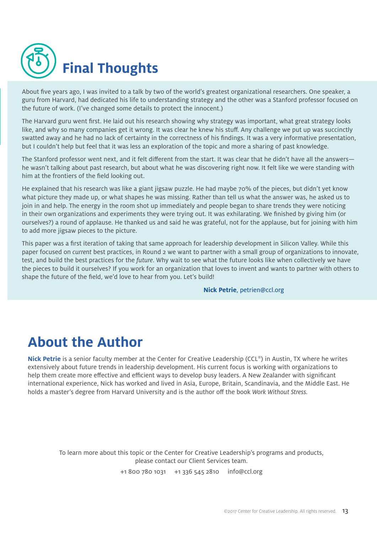

About five years ago, I was invited to a talk by two of the world's greatest organizational researchers. One speaker, a guru from Harvard, had dedicated his life to understanding strategy and the other was a Stanford professor focused on the future of work. (I've changed some details to protect the innocent.)

The Harvard guru went first. He laid out his research showing why strategy was important, what great strategy looks like, and why so many companies get it wrong. It was clear he knew his stuff. Any challenge we put up was succinctly swatted away and he had no lack of certainty in the correctness of his findings. It was a very informative presentation, but I couldn't help but feel that it was less an exploration of the topic and more a sharing of past knowledge.

The Stanford professor went next, and it felt different from the start. It was clear that he didn't have all the answers he wasn't talking about past research, but about what he was discovering right now. It felt like we were standing with him at the frontiers of the field looking out.

He explained that his research was like a giant jigsaw puzzle. He had maybe 70% of the pieces, but didn't yet know what picture they made up, or what shapes he was missing. Rather than tell us what the answer was, he asked us to join in and help. The energy in the room shot up immediately and people began to share trends they were noticing in their own organizations and experiments they were trying out. It was exhilarating. We finished by giving him (or ourselves?) a round of applause. He thanked us and said he was grateful, not for the applause, but for joining with him to add more jigsaw pieces to the picture.

This paper was a first iteration of taking that same approach for leadership development in Silicon Valley. While this paper focused on *current* best practices, in Round 2 we want to partner with a small group of organizations to innovate, test, and build the best practices for the *future*. Why wait to see what the future looks like when collectively we have the pieces to build it ourselves? If you work for an organization that loves to invent and wants to partner with others to shape the future of the field, we'd love to hear from you. Let's build!

#### **Nick Petrie**, petrien@ccl.org

## **About the Author**

**Nick Petrie** is a senior faculty member at the Center for Creative Leadership (CCL®) in Austin, TX where he writes extensively about future trends in leadership development. His current focus is working with organizations to help them create more effective and efficient ways to develop busy leaders. A New Zealander with significant international experience, Nick has worked and lived in Asia, Europe, Britain, Scandinavia, and the Middle East. He holds a master's degree from Harvard University and is the author off the book *Work Without Stress.*

To learn more about this topic or the Center for Creative Leadership's programs and products, please contact our Client Services team.

+1 800 780 1031 +1 336 545 2810 [info@ccl.org](mailto:info%40ccl.org?subject=)